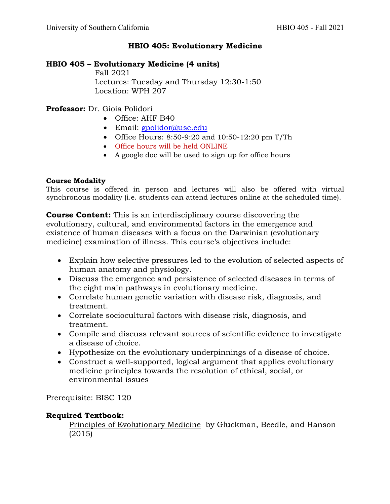## **HBIO 405: Evolutionary Medicine**

## **HBIO 405 – Evolutionary Medicine (4 units)**

Fall 2021 Lectures: Tuesday and Thursday 12:30-1:50 Location: WPH 207

## **Professor:** Dr. Gioia Polidori

- Office: AHF B40
- Email: gpolidor@usc.edu
- Office Hours: 8:50-9:20 and 10:50-12:20 pm T/Th
- Office hours will be held ONLINE
- A google doc will be used to sign up for office hours

## **Course Modality**

This course is offered in person and lectures will also be offered with virtual synchronous modality (i.e. students can attend lectures online at the scheduled time).

**Course Content:** This is an interdisciplinary course discovering the evolutionary, cultural, and environmental factors in the emergence and existence of human diseases with a focus on the Darwinian (evolutionary medicine) examination of illness. This course's objectives include:

- Explain how selective pressures led to the evolution of selected aspects of human anatomy and physiology.
- Discuss the emergence and persistence of selected diseases in terms of the eight main pathways in evolutionary medicine.
- Correlate human genetic variation with disease risk, diagnosis, and treatment.
- Correlate sociocultural factors with disease risk, diagnosis, and treatment.
- Compile and discuss relevant sources of scientific evidence to investigate a disease of choice.
- Hypothesize on the evolutionary underpinnings of a disease of choice.
- Construct a well-supported, logical argument that applies evolutionary medicine principles towards the resolution of ethical, social, or environmental issues

Prerequisite: BISC 120

## **Required Textbook:**

Principles of Evolutionary Medicine by Gluckman, Beedle, and Hanson (2015)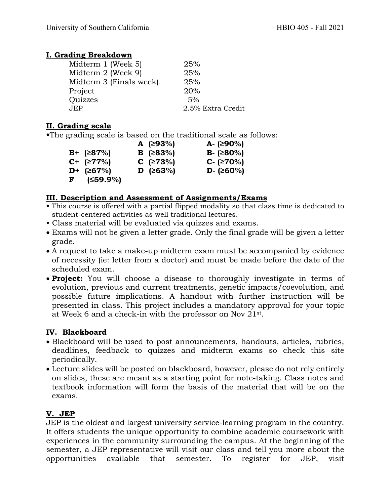# **I. Grading Breakdown**

| Midterm 1 (Week 5)       | 25%               |
|--------------------------|-------------------|
| Midterm 2 (Week 9)       | 25%               |
| Midterm 3 (Finals week). | 25%               |
| Project                  | 20%               |
| Quizzes                  | 5%                |
| <b>JEP</b>               | 2.5% Extra Credit |

# **II. Grading scale**

**•**The grading scale is based on the traditional scale as follows:

|              | A $(293%)$             | $A - (290\%)$ |
|--------------|------------------------|---------------|
| B+ (≥87%)    | <b>B</b> ( $\geq$ 83%) | $B - (280\%)$ |
| $C+$ (277%)  | $C \; (273%)$          | $C - (270%)$  |
| D+ (≥67%)    | D ( $\geq 63\%$ )      | $D - (260\%)$ |
| $F$ (≤59.9%) |                        |               |

# **III. Description and Assessment of Assignments/Exams**

- **•** This course is offered with a partial flipped modality so that class time is dedicated to student-centered activities as well traditional lectures.
- Class material will be evaluated via quizzes and exams.
- Exams will not be given a letter grade. Only the final grade will be given a letter grade.
- A request to take a make-up midterm exam must be accompanied by evidence of necessity (ie: letter from a doctor) and must be made before the date of the scheduled exam.
- **Project:** You will choose a disease to thoroughly investigate in terms of evolution, previous and current treatments, genetic impacts/coevolution, and possible future implications. A handout with further instruction will be presented in class. This project includes a mandatory approval for your topic at Week 6 and a check-in with the professor on Nov  $21^{st}$ .

# **IV. Blackboard**

- Blackboard will be used to post announcements, handouts, articles, rubrics, deadlines, feedback to quizzes and midterm exams so check this site periodically.
- Lecture slides will be posted on blackboard, however, please do not rely entirely on slides, these are meant as a starting point for note-taking. Class notes and textbook information will form the basis of the material that will be on the exams.

# **V. JEP**

JEP is the oldest and largest university service-learning program in the country. It offers students the unique opportunity to combine academic coursework with experiences in the community surrounding the campus. At the beginning of the semester, a JEP representative will visit our class and tell you more about the opportunities available that semester. To register for JEP, visit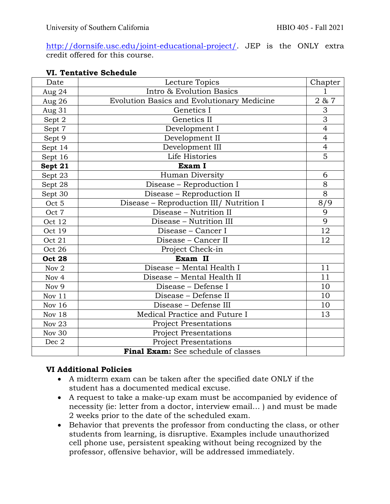http://dornsife.usc.edu/joint-educational-project/. JEP is the ONLY extra credit offered for this course.

## **VI. Tentative Schedule**

| Date          | Lecture Topics                             |                |
|---------------|--------------------------------------------|----------------|
| Aug 24        | Intro & Evolution Basics                   | 1              |
| Aug 26        | Evolution Basics and Evolutionary Medicine | 2 & 7          |
| Aug 31        | Genetics I                                 | 3              |
| Sept 2        | Genetics II                                | $\overline{3}$ |
| Sept 7        | Development I                              | $\overline{4}$ |
| Sept 9        | Development II                             | $\overline{4}$ |
| Sept 14       | Development III                            | $\overline{4}$ |
| Sept 16       | Life Histories                             | 5              |
| Sept 21       | Exam I                                     |                |
| Sept 23       | Human Diversity                            | 6              |
| Sept 28       | Disease - Reproduction I                   | 8              |
| Sept 30       | Disease - Reproduction II                  | 8              |
| Oct 5         | Disease - Reproduction III/Nutrition I     | 8/9            |
| Oct 7         | Disease - Nutrition $\overline{II}$        | 9              |
| Oct 12        | Disease - Nutrition III                    | 9              |
| Oct 19        | Disease - Cancer I                         | 12             |
| Oct 21        | Disease - Cancer II                        | 12             |
| Oct 26        | Project Check-in                           |                |
| <b>Oct 28</b> | Exam II                                    |                |
| Nov 2         | Disease - Mental Health I                  | 11             |
| Nov 4         | Disease - Mental Health II                 | 11             |
| Nov 9         | Disease - Defense I                        | 10             |
| Nov 11        | Disease - Defense II                       | 10             |
| Nov 16        | Disease - Defense III                      | 10             |
| Nov 18        | Medical Practice and Future I              | 13             |
| <b>Nov 23</b> | <b>Project Presentations</b>               |                |
| Nov $30\,$    | <b>Project Presentations</b>               |                |
| Dec 2         | <b>Project Presentations</b>               |                |
|               | Final Exam: See schedule of classes        |                |

## **VI Additional Policies**

- A midterm exam can be taken after the specified date ONLY if the student has a documented medical excuse.
- A request to take a make-up exam must be accompanied by evidence of necessity (ie: letter from a doctor, interview email… ) and must be made 2 weeks prior to the date of the scheduled exam.
- Behavior that prevents the professor from conducting the class, or other students from learning, is disruptive. Examples include unauthorized cell phone use, persistent speaking without being recognized by the professor, offensive behavior, will be addressed immediately.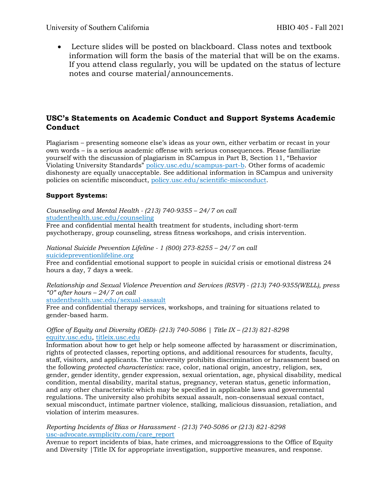• Lecture slides will be posted on blackboard. Class notes and textbook information will form the basis of the material that will be on the exams. If you attend class regularly, you will be updated on the status of lecture notes and course material/announcements.

## **USC's Statements on Academic Conduct and Support Systems Academic Conduct**

Plagiarism – presenting someone else's ideas as your own, either verbatim or recast in your own words – is a serious academic offense with serious consequences. Please familiarize yourself with the discussion of plagiarism in SCampus in Part B, Section 11, "Behavior Violating University Standards" policy.usc.edu/scampus-part-b. Other forms of academic dishonesty are equally unacceptable. See additional information in SCampus and university policies on scientific misconduct, policy.usc.edu/scientific-misconduct.

### **Support Systems:**

*Counseling and Mental Health - (213) 740-9355 – 24/7 on call* studenthealth.usc.edu/counseling

Free and confidential mental health treatment for students, including short-term psychotherapy, group counseling, stress fitness workshops, and crisis intervention.

*National Suicide Prevention Lifeline - 1 (800) 273-8255 – 24/7 on call* suicidepreventionlifeline.org

Free and confidential emotional support to people in suicidal crisis or emotional distress 24 hours a day, 7 days a week.

*Relationship and Sexual Violence Prevention and Services (RSVP) - (213) 740-9355(WELL), press "0" after hours – 24/7 on call*

studenthealth.usc.edu/sexual-assault

Free and confidential therapy services, workshops, and training for situations related to gender-based harm.

#### *Office of Equity and Diversity (OED)- (213) 740-5086 | Title IX – (213) 821-8298* equity.usc.edu, titleix.usc.edu

Information about how to get help or help someone affected by harassment or discrimination, rights of protected classes, reporting options, and additional resources for students, faculty, staff, visitors, and applicants. The university prohibits discrimination or harassment based on the following *protected characteristics*: race, color, national origin, ancestry, religion, sex, gender, gender identity, gender expression, sexual orientation, age, physical disability, medical condition, mental disability, marital status, pregnancy, veteran status, genetic information, and any other characteristic which may be specified in applicable laws and governmental regulations. The university also prohibits sexual assault, non-consensual sexual contact, sexual misconduct, intimate partner violence, stalking, malicious dissuasion, retaliation, and violation of interim measures.

#### *Reporting Incidents of Bias or Harassment - (213) 740-5086 or (213) 821-8298* usc-advocate.symplicity.com/care\_report

Avenue to report incidents of bias, hate crimes, and microaggressions to the Office of Equity and Diversity |Title IX for appropriate investigation, supportive measures, and response.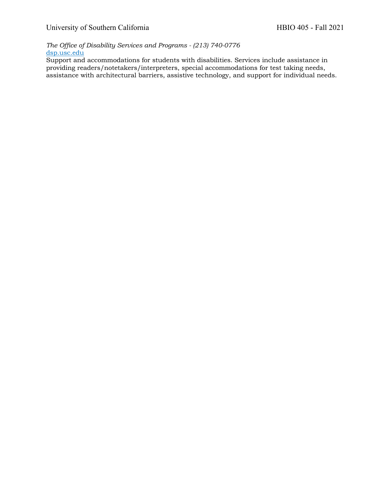*The Office of Disability Services and Programs - (213) 740-0776* dsp.usc.edu

Support and accommodations for students with disabilities. Services include assistance in providing readers/notetakers/interpreters, special accommodations for test taking needs, assistance with architectural barriers, assistive technology, and support for individual needs.